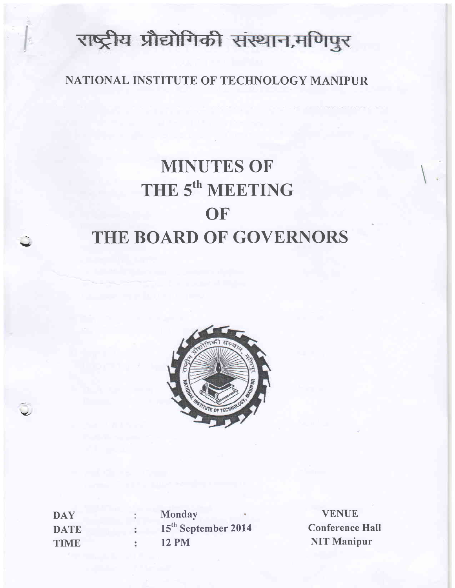# राष्ट्रीय प्रौद्योगिकी संस्थान,मणिपुर

### NATIONAL INSTITUTE OF TECHNOLOGY MANIPUR

# MINUTES OF THE 5<sup>th</sup> MEETING **OF** THE BOARD OF GOVERNORS



**DAY DATE TIME Monday** 15<sup>th</sup> September 2014 12 PM

v

 $\checkmark$ 

VENUE **Conference Hall** NIT Manipur

 $\overline{a}$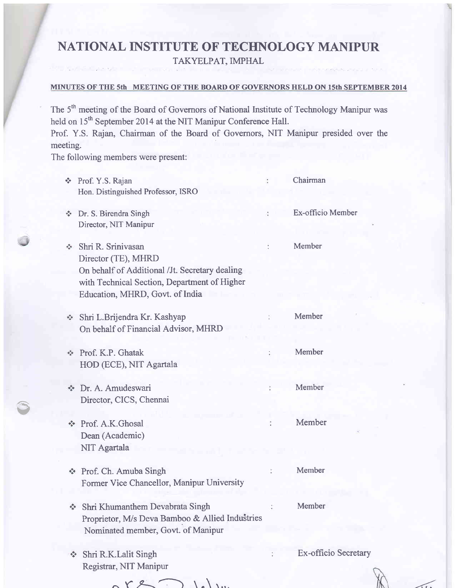# NATIONAL INSTITUTE OF TECHNOLOGY MANIPUR

TAKYELPAT, IMPHAL

#### MINUTES OF THE 5th MEETING OF THE BOARD OF GOVERNORS HELD ON 15th SEPTEMBER 2014

The 5<sup>th</sup> meeting of the Board of Governors of National Institute of Technology Manipur was held on 15<sup>th</sup> September 2014 at the NIT Manipur Conference Hall.

Prof. Y.S. Rajan, Chairman of the Board of Governors, NIT Manipur presided over the meeting.

The following members were present:

Av

| 修                                  | Prof. Y.S. Rajan                                | Chairman             |
|------------------------------------|-------------------------------------------------|----------------------|
|                                    | Hon. Distinguished Professor, ISRO              |                      |
|                                    | Dr. S. Birendra Singh                           | Ex-officio Member    |
|                                    | Director, NIT Manipur                           |                      |
| ÷.                                 | Shri R. Srinivasan                              | Member               |
|                                    | Director (TE), MHRD                             |                      |
|                                    | On behalf of Additional /Jt. Secretary dealing  |                      |
|                                    | with Technical Section, Department of Higher    |                      |
|                                    | Education, MHRD, Govt. of India                 |                      |
|                                    | Shri L.Brijendra Kr. Kashyap                    | Member               |
|                                    | On behalf of Financial Advisor, MHRD            |                      |
| $\Phi_{\mu\nu}^{\Psi_{\mu\nu}}$    | Prof. K.P. Ghatak                               | Member               |
|                                    | HOD (ECE), NIT Agartala                         |                      |
|                                    |                                                 |                      |
| $\Phi_{\mathcal{A}}^{\Psi_{\Phi}}$ | Dr. A. Amudeswari                               | Member               |
|                                    | Director, CICS, Chennai                         |                      |
|                                    |                                                 |                      |
|                                    | Prof. A.K.Ghosal                                | Member               |
|                                    | Dean (Academic)                                 |                      |
|                                    | NIT Agartala                                    |                      |
|                                    | Prof. Ch. Amuba Singh                           | Member               |
|                                    | Former Vice Chancellor, Manipur University      |                      |
|                                    |                                                 |                      |
|                                    | Shri Khumanthem Devabrata Singh                 | Member               |
|                                    | Proprietor, M/s Deva Bamboo & Allied Industries |                      |
|                                    | Nominated member, Govt. of Manipur              |                      |
| o e                                | Shri R.K.Lalit Singh                            | Ex-officio Secretary |
|                                    | Registrar, NIT Manipur                          |                      |

 $\overline{a}$ 

 $r$   $\approx$   $\sim$  )  $\frac{1}{2}$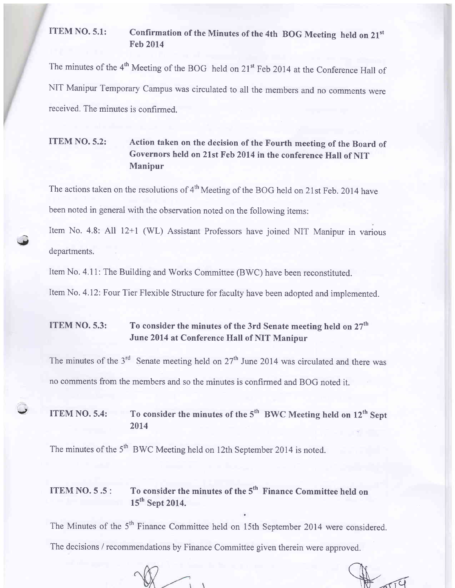#### ITEM NO. 5.1: Confirmation of the Minutes of the 4th BOG Meeting held on  $21<sup>st</sup>$ Feb 2014

The minutes of the  $4<sup>th</sup>$  Meeting of the BOG held on 21<sup>st</sup> Feb 2014 at the Conference Hall of NIT Manipur Temporary Campus was circulated to all the members and no comments were received. The minutes is confirmed.

### ITEM NO.5.2: Action taken on the decision of the Fourth meeting of the Board of Governors held on 21st Feb 2014 in the conference Hall of NIT Manipur

The actions taken on the resolutions of 4<sup>th</sup> Meeting of the BOG held on 21st Feb. 2014 have been noted in general with the observation noted on the following items:

Item No. 4.8: All 12+1 (WL) Assistant Professors have joined NIT Manipur in various departments.

Item No. 4.1 1: The Building and Works Committee (BWC) have been reconstituted.

g,

 $\ddot{\phantom{0}}$ 

Item No. 4.12: Four Tier Flexible Structure for faculty have been adopted and implemented.

### **ITEM NO. 5.3:** To consider the minutes of the 3rd Senate meeting held on  $27<sup>th</sup>$ June 2014 at Conference Hall of NIT Manipur

The minutes of the  $3<sup>rd</sup>$  Senate meeting held on  $27<sup>th</sup>$  June 2014 was circulated and there was no comments from the members and so the minutes is confirmed and BOG noted it.

ITEM NO. 5.4: To consider the minutes of the  $5<sup>th</sup> BWC$  Meeting held on  $12<sup>th</sup>$  Sept 2014

The minutes of the 5<sup>th</sup> BWC Meeting held on 12th September 2014 is noted.

### ITEM NO.  $5.5$ : To consider the minutes of the  $5<sup>th</sup>$  Finance Committee held on 15<sup>th</sup> Sept 2014.

The Minutes of the 5<sup>th</sup> Finance Committee held on 15th September 2014 were considered.

The decisions / recommendations by Finance Committee given therein were approved.

 $\sqrt{1}$ 

S?d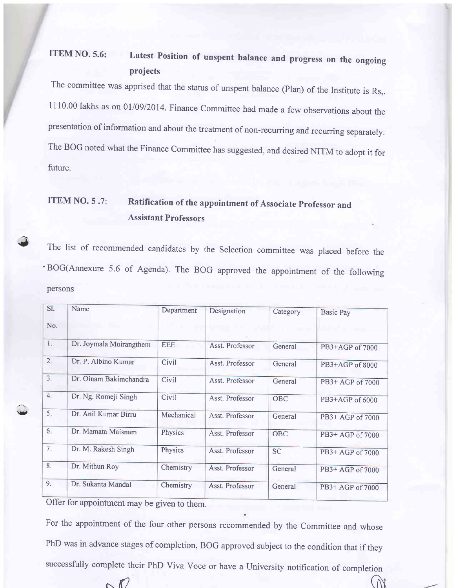### ITEM NO. 5.6: Latest Position of unspent balance and progress on the ongoing projects

The committee was apprised that the status of unspent balance (Plan) of the Institute is Rs,. <sup>I</sup>i 10'00 lakhs as on 0l/0912014. Finance committee had made a few observations about the presentation of information and about the treatment of non-recurring and recurring separately. The BoG noted what the Finance Committee has suggested, and desired NITM to adopt it for future.

### ITEM NO. 5.7: Ratification of the appointment of Associate Professor and Assistant Professors

The list of recommended candidates by the Selection committee was placed before the BOG(Annexure 5.6 of Agenda). The BOG approved the appointment of the following persons

| SI.        | Name                    | Department | Designation     | Category   | <b>Basic Pay</b> |
|------------|-------------------------|------------|-----------------|------------|------------------|
| No.        |                         |            |                 |            |                  |
| 1.         | Dr. Joymala Moirangthem | <b>EEE</b> | Asst. Professor | General    | PB3+AGP of 7000  |
| 2.         | Dr. P. Albino Kumar     | Civil      | Asst. Professor | General    | PB3+AGP of 8000  |
| 3.         | Dr. Oinam Bakimchandra  | Civil      | Asst. Professor | General    | PB3+ AGP of 7000 |
| 4.         | Dr. Ng. Romeji Singh    | Civil      | Asst. Professor | OBC        | PB3+AGP of 6000  |
| 5.         | Dr. Anil Kumar Birru    | Mechanical | Asst. Professor | General    | PB3+ AGP of 7000 |
| 6.         | Dr. Mamata Maisnam      | Physics    | Asst. Professor | <b>OBC</b> | PB3+ AGP of 7000 |
| 7.         | Dr. M. Rakesh Singh     | Physics    | Asst. Professor | <b>SC</b>  | PB3+ AGP of 7000 |
| 8.         | Dr. Mithun Roy          | Chemistry  | Asst. Professor | General    | PB3+ AGP of 7000 |
| 9.         | Dr. Sukanta Mandal      | Chemistry  | Asst. Professor | General    | PB3+ AGP of 7000 |
| $\cap$ cc. | $\sim$                  |            |                 |            |                  |

Offer for appointment may be given to them.

 $\checkmark$ 

For the appointment of the four other persons recommended by the Committee and whose PhD was in advance stages of completion, BOG approved subject to the condition that if they successfully complete their PhD Viva Voce or have a University notification of completion  $\bigcap$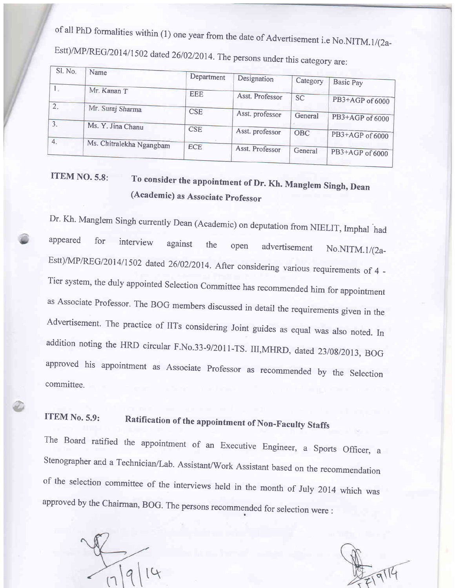of all PhD formalities within (1) one year from the date of Advertisement i.e No.NITM.1/(2a-Estt)/MP/REG/2014/1502 dated 26/02/2014. The persons under this category are:

| Sl. No.          | Name                     |            |                 |           |                 |  |
|------------------|--------------------------|------------|-----------------|-----------|-----------------|--|
|                  |                          | Department | Designation     | Category  | Basic Pay       |  |
| l si             | Mr. Kanan T              | <b>EEE</b> |                 |           |                 |  |
|                  |                          |            | Asst. Professor | <b>SC</b> | PB3+AGP of 6000 |  |
| 2.               | Mr. Suraj Sharma         | <b>CSE</b> |                 |           |                 |  |
|                  |                          |            | Asst. professor | General   | PB3+AGP of 6000 |  |
| 3.               | Ms. Y. Jina Chanu        | <b>CSE</b> |                 |           |                 |  |
|                  |                          |            | Asst. professor | OBC       | PB3+AGP of 6000 |  |
| $\overline{4}$ . | Ms. Chitralekha Ngangbam | <b>ECE</b> |                 |           |                 |  |
|                  |                          |            | Asst. Professor | General   | PB3+AGP of 6000 |  |
|                  |                          |            |                 |           |                 |  |

# TTEM NO.5.8: To consider the appointment of Dr. Kh. Manglem Singh, Dean (Academic) as Associate professor

Dr. Kh. Manglem Singh currently Dean (Academic) on deputation from NIELIT, Imphal had appeared for interview against the open advertisement  $No.NITM. 1/(2a-$ Estt)/MP/REG/2014/1502 dated 26/02/2014. After considering various requirements of 4 -Tier system, the duly appointed Selection Committee has recommended him for appointment as Associate Professor. The BOG members discussed in detail the requirements given in the Advertisement. The practice of IITs considering Joint guides as equal was also noted. In addition noting the HRD circular F.No.33-9/2011-TS. III,MHRD, dated 23/08/2013, BOG approved his appointment as Associate Professor as recommended by the Selection committee.

# ITEM No. 5.9: Ratification of the appointment of Non-Faculty Staffs

The Board ratified the appointment of an Executive Engineer, a Sports officer, <sup>a</sup> Stenographer and a Technician/Lab. Assistant/Work Assistant based on the recommendation of the selection committee of the interviews held in the month of July 2014 which was approved by the Chairman, BOG. The persons recommended for selection were :

 $\mathcal{C}$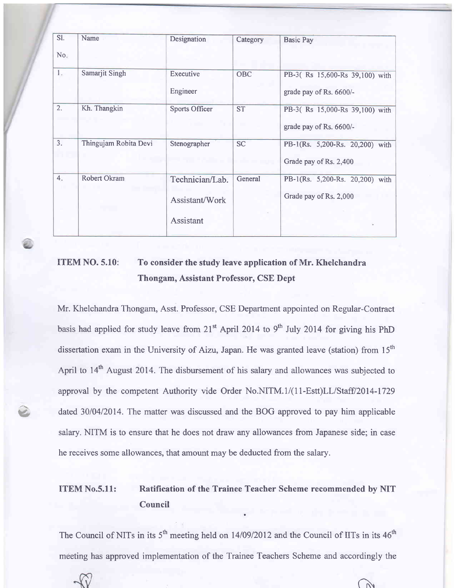| SI.<br>No.       | Name                  | Designation                                    | Category  | <b>Basic Pay</b>                                             |
|------------------|-----------------------|------------------------------------------------|-----------|--------------------------------------------------------------|
| 1.               | Samarjit Singh        | Executive<br>Engineer                          | OBC       | PB-3(Rs 15,600-Rs 39,100) with<br>grade pay of Rs. 6600/-    |
| $\overline{2}$ . | Kh. Thangkin          | <b>Sports Officer</b>                          | <b>ST</b> | PB-3(Rs 15,000-Rs 39,100) with<br>grade pay of Rs. 6600/-    |
| $\overline{3}$ . | Thingujam Robita Devi | Stenographer                                   | <b>SC</b> | PB-1(Rs. 5,200-Rs. 20,200) with<br>Grade pay of Rs. 2,400    |
| 4.               | Robert Okram          | Technician/Lab.<br>Assistant/Work<br>Assistant | General   | PB-1(Rs. 5,200-Rs. 20,200)<br>with<br>Grade pay of Rs. 2,000 |

### ITEM NO. 5.10: To consider the study leave application of Mr. Khelchandra Thongam, Assistant Professor, CSE Dept

Mr. Khelchandra Thongam, Asst. Professor, CSE Department appointed on Regular-Contract basis had applied for study leave from  $21<sup>st</sup>$  April 2014 to 9<sup>th</sup> July 2014 for giving his PhD dissertation exam in the University of Aizu, Japan. He was granted leave (station) from  $15<sup>th</sup>$ April to 14<sup>th</sup> August 2014. The disbursement of his salary and allowances was subjected to approval by the competent Authority vide Order No.NITM.1/(11-Estt)LL/Staff/2014-1729 dated 30/04/2014. The matter was discussed and the BOG approved to pay him applicable salary. NITM is to ensure that he does not draw any allowances from Japanese side; in case he receives some allowances, that amount may be deducted from the salary.

v

### ITEM No.5.11: Ratification of the Trainee Teacher Scheme recommended by NIT Council

The Council of NITs in its  $5<sup>th</sup>$  meeting held on 14/09/2012 and the Council of IITs in its 46<sup>th</sup> meeting has approved implementation of the Trainee Teachers Scheme and accordingly the

 $\mathcal{D}$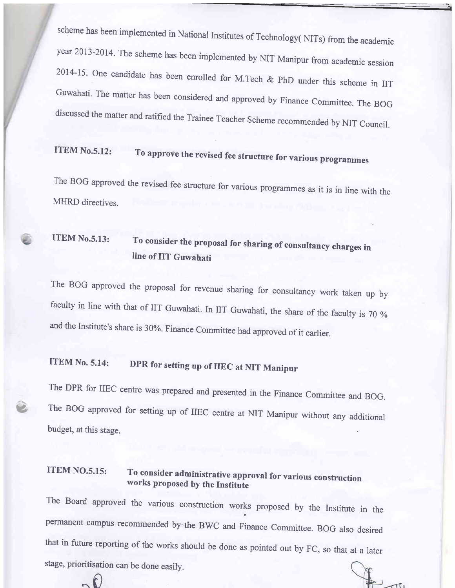scheme has been implemented in National Institutes of Technology( NITs) from the academic year 2013-2014. The scheme has been implemented by NIT Manipur from academic session 2014-15. One candidate has been enrolled for M.Tech  $& PhD$  under this scheme in IIT Guwahati. The matter has been considered and approved by Finance Committee. The BOG discussed the matter and ratified the Trainee Teacher Scheme recommended by NIT council.

# ITEM No.5.12: To approve the revised fee structure for various programmes

The BOG approved the revised fee structure for various programmes as it is in line with the MHRD directives.

## ITEM No.5.13: To consider the proposal for sharing of consultancy charges in line of IIT Guwahati

The BoG approved the proposal for revenue sharing for consultancy work taken up by faculty in line with that of IIT Guwahati. In IIT Guwahati, the share of the faculty is 70 % and the Institute's share is 30%. Finance committee had approved of it earlier.

# ITEM No. 5.14: DPR for setting up of IIEC at NIT Manipur

e

 $\sim$ 

The DPR for IIEC centre was prepared and presented in the Finance Committee and BOG. The BOG approved for setting up of IIEC centre at NIT Manipur without any additionalbudget, at this stage.

# ITEM NO.5.15: To consider administrative approval for various construction works proposed by the Institute

The Board approved the various construction works proposed by the Institute in the permanent campus recommended by the BWC and Finance Committee. BOG also desired that in future reporting of the works should be done as pointed out by FC, so that at a later stage, prioritisation can be done easilv.

 $\pi i$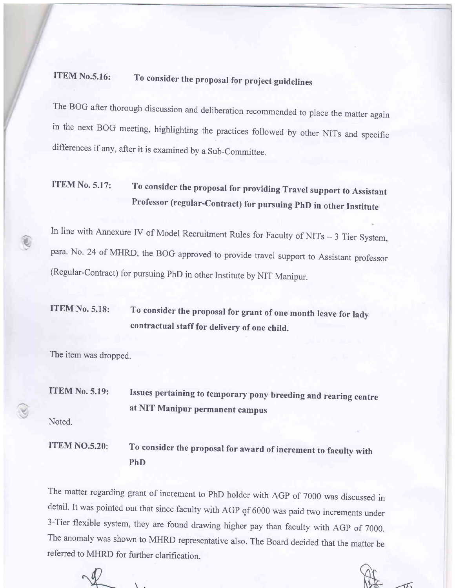# ITEM No.5.16: To consider the proposal for project guidelines

The BOG after thorough discussion and deliberation recommended to place the matter again in the next BoG meeting, highlighting the practices followed by other NITs and specific differences if any, after it is examined by a Sub-committee.

## ITEM No. 5.17: To consider the proposal for providing Travel support to Assistant Professor (regular-contract) for pursuing phD in other Institute

In line with Annexure IV of Model Recruitment Rules for Faculty of NITs - 3 Tier System, para. No. 24 of MHRD, the BOG approved to provide travel support to Assistant professor (Regular-contract) for pursuing phD in other Institute by NIT Manipur.

## ITEM No. 5.18: To consider the proposal for grant of one month leave for lady contractual staff for delivery of one child.

The item was dropped.

**ITEM No. 5.19:** Issues pertaining to temporary pony breeding and rearing centre at NIT Manipur permanent campus

Noted.

q

ITEM NO.5.20: To consider the proposal for award of increment to faculty with PhD

The matter regarding grant of increment to PhD holder with AGP of 7000 was discussed in detail. It was pointed out that since faculty with AGP of 6000 was paid two increments under 3-Tier flexible system, they are found drawing higher pay than faculty with AGp of 7000. The anomaly was shown to MHRD representative also. The Board decided that the matter be referred to MHRD for further clarification.

 $\sqrt{6}$